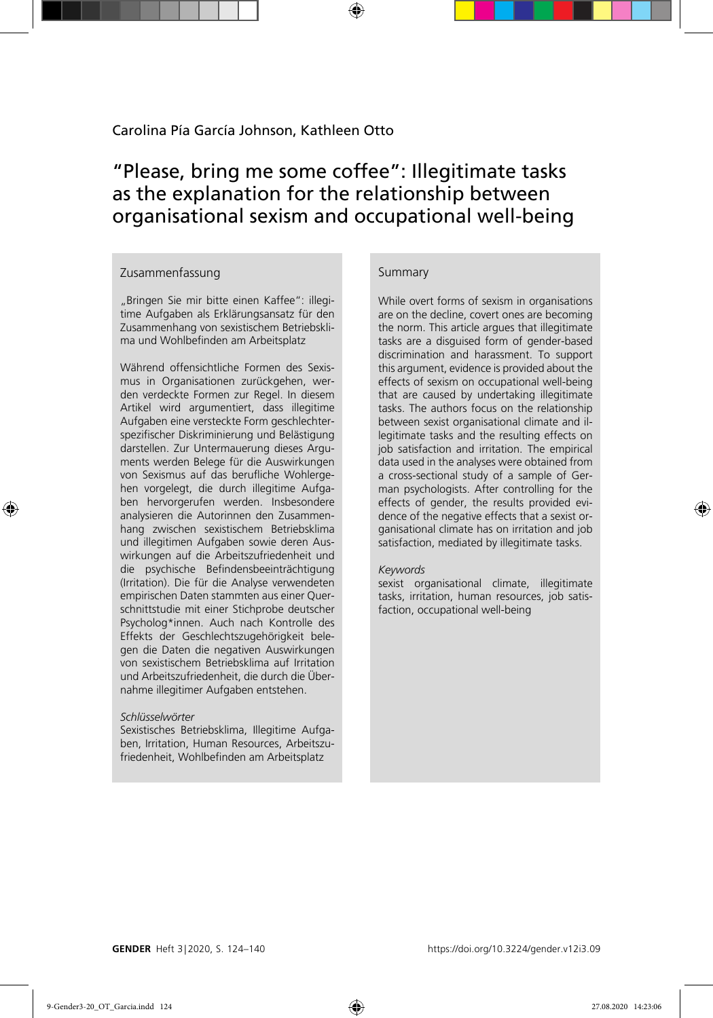# "Please, bring me some coffee": Illegitimate tasks as the explanation for the relationship between organisational sexism and occupational well-being

### Zusammenfassung

"Bringen Sie mir bitte einen Kaffee": illegitime Aufgaben als Erklärungsansatz für den Zusammenhang von sexistischem Betriebsklima und Wohlbefinden am Arbeitsplatz

Während offensichtliche Formen des Sexismus in Organisationen zurückgehen, werden verdeckte Formen zur Regel. In diesem Artikel wird argumentiert, dass illegitime Aufgaben eine versteckte Form geschlechterspezifischer Diskriminierung und Belästigung darstellen. Zur Untermauerung dieses Arguments werden Belege für die Auswirkungen von Sexismus auf das berufliche Wohlergehen vorgelegt, die durch illegitime Aufgaben hervorgerufen werden. Insbesondere analysieren die Autorinnen den Zusammenhang zwischen sexistischem Betriebsklima und illegitimen Aufgaben sowie deren Auswirkungen auf die Arbeitszufriedenheit und die psychische Befindensbeeinträchtigung (Irritation). Die für die Analyse verwendeten empirischen Daten stammten aus einer Querschnittstudie mit einer Stichprobe deutscher Psycholog\*innen. Auch nach Kontrolle des Effekts der Geschlechtszugehörigkeit belegen die Daten die negativen Auswirkungen von sexistischem Betriebsklima auf Irritation und Arbeitszufriedenheit, die durch die Übernahme illegitimer Aufgaben entstehen.

#### *Schlüsselwörter*

Sexistisches Betriebsklima, Illegitime Aufgaben, Irritation, Human Resources, Arbeitszufriedenheit, Wohlbefinden am Arbeitsplatz

#### Summary

While overt forms of sexism in organisations are on the decline, covert ones are becoming the norm. This article argues that illegitimate tasks are a disguised form of gender-based discrimination and harassment. To support this argument, evidence is provided about the effects of sexism on occupational well-being that are caused by undertaking illegitimate tasks. The authors focus on the relationship between sexist organisational climate and illegitimate tasks and the resulting effects on job satisfaction and irritation. The empirical data used in the analyses were obtained from a cross-sectional study of a sample of German psychologists. After controlling for the effects of gender, the results provided evidence of the negative effects that a sexist organisational climate has on irritation and job satisfaction, mediated by illegitimate tasks.

#### *Keywords*

sexist organisational climate, illegitimate tasks, irritation, human resources, job satisfaction, occupational well-being